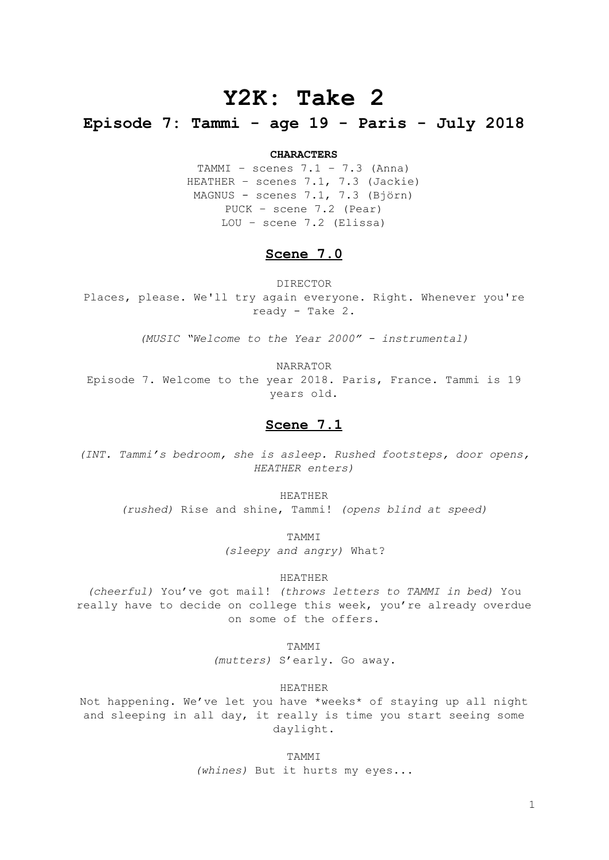# **Y2K: Take 2**

# **Episode 7: Tammi - age 19 - Paris - July 2018**

#### **CHARACTERS**

TAMMI – scenes  $7.1 - 7.3$  (Anna) HEATHER – scenes 7.1, 7.3 (Jackie) MAGNUS - scenes 7.1, 7.3 (Björn) PUCK – scene 7.2 (Pear) LOU – scene 7.2 (Elissa)

# **Scene 7.0**

DIRECTOR Places, please. We'll try again everyone. Right. Whenever you're ready - Take 2.

*(MUSIC "Welcome to the Year 2000" - instrumental)*

NARRATOR

Episode 7. Welcome to the year 2018. Paris, France. Tammi is 19 years old.

# **Scene 7.1**

*(INT. Tammi's bedroom, she is asleep. Rushed footsteps, door opens, HEATHER enters)*

HEATHER

*(rushed)* Rise and shine, Tammi! *(opens blind at speed)*

TAMMI

*(sleepy and angry)* What?

## HEATHER

*(cheerful)* You've got mail! *(throws letters to TAMMI in bed)* You really have to decide on college this week, you're already overdue on some of the offers.

TAMMI

*(mutters)* S'early. Go away.

HEATHER

Not happening. We've let you have \*weeks\* of staying up all night and sleeping in all day, it really is time you start seeing some daylight.

> **TAMMT** *(whines)* But it hurts my eyes...

> > 1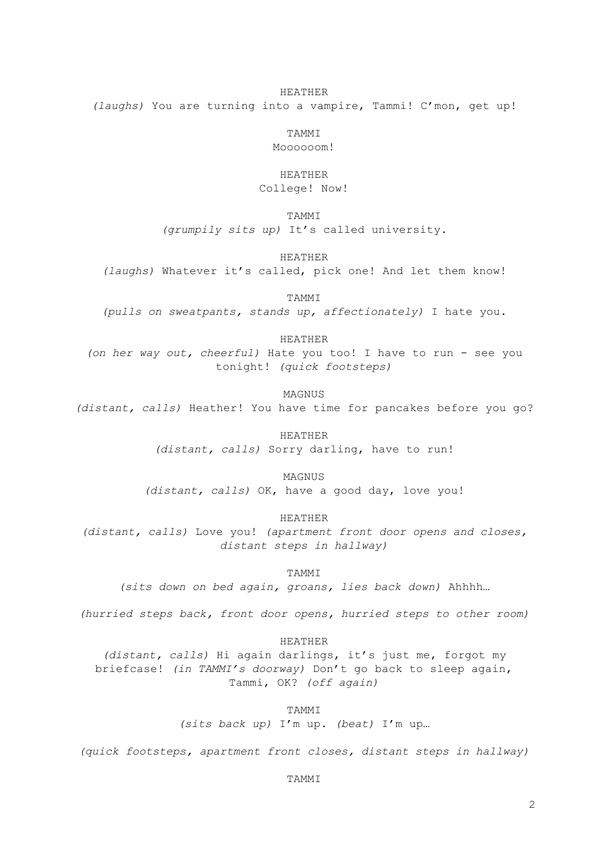## HEATHER

*(laughs)* You are turning into a vampire, Tammi! C'mon, get up!

TAMMI Moooooom!

## HEATHER

College! Now!

TAMMI

*(grumpily sits up)* It's called university.

HEATHER

*(laughs)* Whatever it's called, pick one! And let them know!

TAMMI

*(pulls on sweatpants, stands up, affectionately)* I hate you.

HEATHER

*(on her way out, cheerful)* Hate you too! I have to run - see you tonight! *(quick footsteps)*

MACNIIS

*(distant, calls)* Heather! You have time for pancakes before you go?

HEATHER *(distant, calls)* Sorry darling, have to run!

MAGNUS

*(distant, calls)* OK, have a good day, love you!

HEATHER

*(distant, calls)* Love you! *(apartment front door opens and closes, distant steps in hallway)*

TAMMI

*(sits down on bed again, groans, lies back down)* Ahhhh…

*(hurried steps back, front door opens, hurried steps to other room)*

HEATHER

*(distant, calls)* Hi again darlings, it's just me, forgot my briefcase! *(in TAMMI's doorway)* Don't go back to sleep again, Tammi, OK? *(off again)*

TAMMI

*(sits back up)* I'm up. *(beat)* I'm up…

*(quick footsteps, apartment front closes, distant steps in hallway)*

**TAMMT**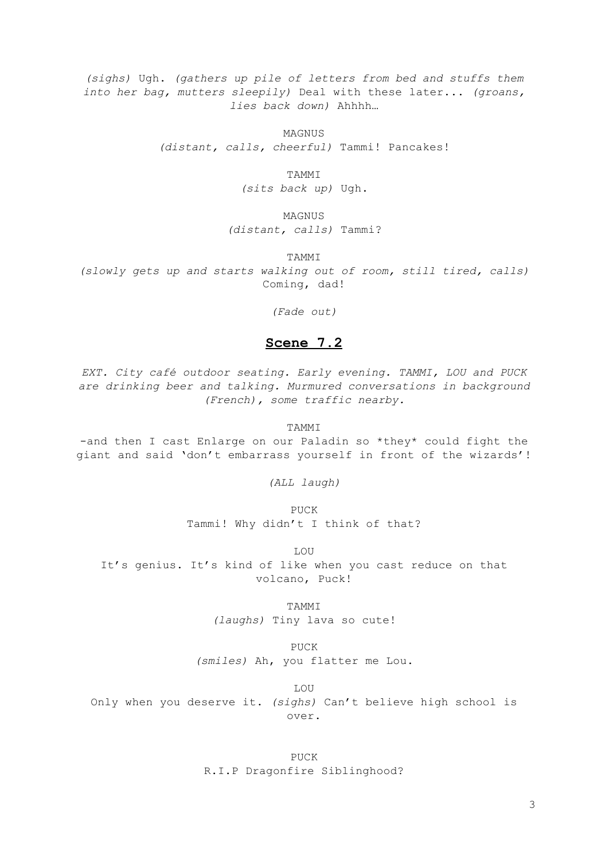*(sighs)* Ugh. *(gathers up pile of letters from bed and stuffs them into her bag, mutters sleepily)* Deal with these later... *(groans, lies back down)* Ahhhh…

MAGNUS

*(distant, calls, cheerful)* Tammi! Pancakes!

TAMMI

*(sits back up)* Ugh.

MAGNUS *(distant, calls)* Tammi?

TAMMI

*(slowly gets up and starts walking out of room, still tired, calls)* Coming, dad!

*(Fade out)*

# **Scene 7.2**

*EXT. City café outdoor seating. Early evening. TAMMI, LOU and PUCK are drinking beer and talking. Murmured conversations in background (French), some traffic nearby.*

TAMMI

-and then I cast Enlarge on our Paladin so \*they\* could fight the giant and said 'don't embarrass yourself in front of the wizards'!

*(ALL laugh)*

PUCK Tammi! Why didn't I think of that?

LOU It's genius. It's kind of like when you cast reduce on that volcano, Puck!

> TAMMI *(laughs)* Tiny lava so cute!

PUCK *(smiles)* Ah, you flatter me Lou.

LOU

Only when you deserve it. *(sighs)* Can't believe high school is over.

> PUCK R.I.P Dragonfire Siblinghood?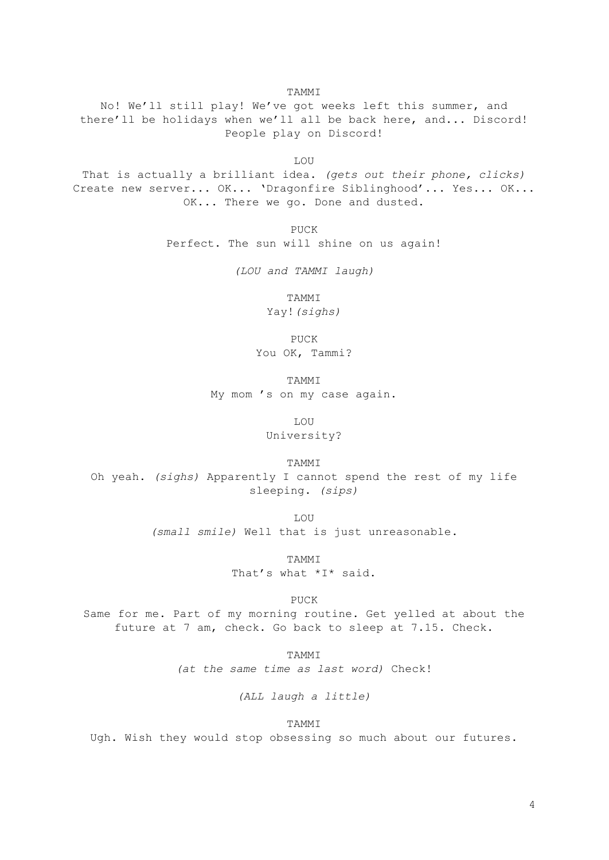TAMMI

No! We'll still play! We've got weeks left this summer, and there'll be holidays when we'll all be back here, and... Discord! People play on Discord!

LOU

That is actually a brilliant idea. *(gets out their phone, clicks)* Create new server... OK... 'Dragonfire Siblinghood'... Yes... OK... OK... There we go. Done and dusted.

> PUCK Perfect. The sun will shine on us again!

> > *(LOU and TAMMI laugh)*

TAMMI

Yay!*(sighs)*

PUCK You OK, Tammi?

TAMMI My mom 's on my case again.

LOU

University?

TAMMI

Oh yeah. *(sighs)* Apparently I cannot spend the rest of my life sleeping. *(sips)*

LOU

*(small smile)* Well that is just unreasonable.

TAMMI That's what \*I\* said.

PUCK

Same for me. Part of my morning routine. Get yelled at about the future at 7 am, check. Go back to sleep at 7.15. Check.

> TAMMI *(at the same time as last word)* Check!

> > *(ALL laugh a little)*

TAMMI

Ugh. Wish they would stop obsessing so much about our futures.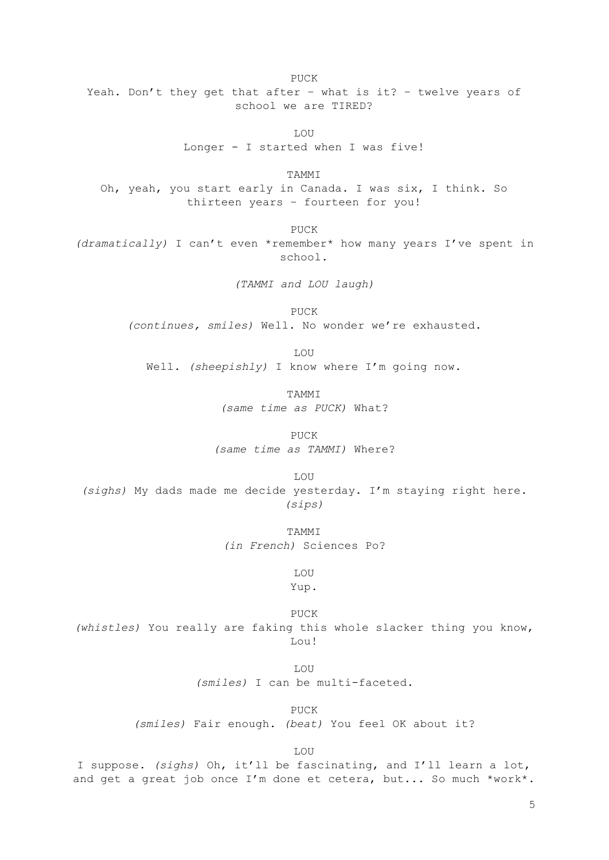PUCK Yeah. Don't they get that after – what is it? – twelve years of school we are TIRED?

> **LOU** Longer - I started when I was five!

TAMMI Oh, yeah, you start early in Canada. I was six, I think. So thirteen years – fourteen for you!

PUCK *(dramatically)* I can't even \*remember\* how many years I've spent in school.

*(TAMMI and LOU laugh)*

PUCK *(continues, smiles)* Well. No wonder we're exhausted.

LOU Well. *(sheepishly)* I know where I'm going now.

> **TAMMT** *(same time as PUCK)* What?

PUCK *(same time as TAMMI)* Where?

LOU *(sighs)* My dads made me decide yesterday. I'm staying right here. *(sips)*

> TAMMI *(in French)* Sciences Po?

> > LOU Yup.

PUCK *(whistles)* You really are faking this whole slacker thing you know, Lou!

> T.OU *(smiles)* I can be multi-faceted.

> > PUCK

*(smiles)* Fair enough. *(beat)* You feel OK about it?

LOU

I suppose. *(sighs)* Oh, it'll be fascinating, and I'll learn a lot, and get a great job once I'm done et cetera, but... So much \*work\*.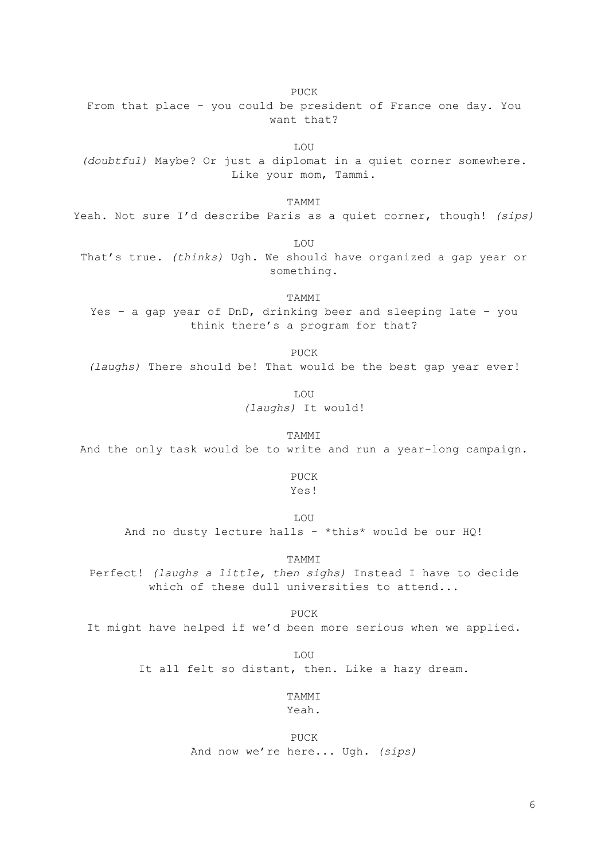PUCK From that place - you could be president of France one day. You want that?

LOU *(doubtful)* Maybe? Or just a diplomat in a quiet corner somewhere. Like your mom, Tammi.

TAMMI

Yeah. Not sure I'd describe Paris as a quiet corner, though! *(sips)*

LOU

That's true. *(thinks)* Ugh. We should have organized a gap year or something.

TAMMI Yes – a gap year of DnD, drinking beer and sleeping late – you think there's a program for that?

PUCK

*(laughs)* There should be! That would be the best gap year ever!

LOU *(laughs)* It would!

TAMMI And the only task would be to write and run a year-long campaign.

PUCK

Yes!

LOU

And no dusty lecture halls - \*this\* would be our  $HQ!$ 

TAMMI

Perfect! *(laughs a little, then sighs)* Instead I have to decide which of these dull universities to attend...

PUCK It might have helped if we'd been more serious when we applied.

> LOU It all felt so distant, then. Like a hazy dream.

> > TAMMI Yeah.

PUCK And now we're here... Ugh. *(sips)*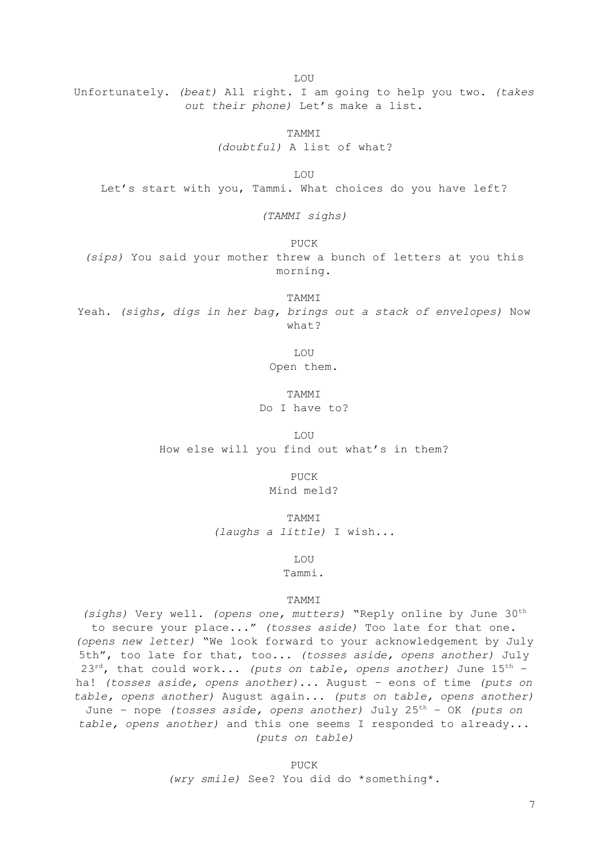LOU

Unfortunately. *(beat)* All right. I am going to help you two. *(takes out their phone)* Let's make a list.

TAMMI

*(doubtful)* A list of what?

LOU Let's start with you, Tammi. What choices do you have left?

*(TAMMI sighs)*

PUCK

*(sips)* You said your mother threw a bunch of letters at you this morning.

TAMMI

Yeah. *(sighs, digs in her bag, brings out a stack of envelopes)* Now what?

LOU

Open them.

**TAMMT** Do I have to?

LOU How else will you find out what's in them?

> PUCK Mind meld?

TAMMI *(laughs a little)* I wish...

LOU

Tammi.

## TAMMI

*(sighs)* Very well. *(opens one, mutters)* "Reply online by June 30 th to secure your place..." *(tosses aside)* Too late for that one. *(opens new letter)* "We look forward to your acknowledgement by July 5th", too late for that, too... *(tosses aside, opens another)* July 23 rd, that could work... *(puts on table, opens another)* June 15 th – ha! *(tosses aside, opens another)*... August – eons of time *(puts on table, opens another)* August again... *(puts on table, opens another)* June – nope *(tosses aside, opens another)* July 25 th – OK *(puts on table, opens another)* and this one seems I responded to already... *(puts on table)*

PUCK

*(wry smile)* See? You did do \*something\*.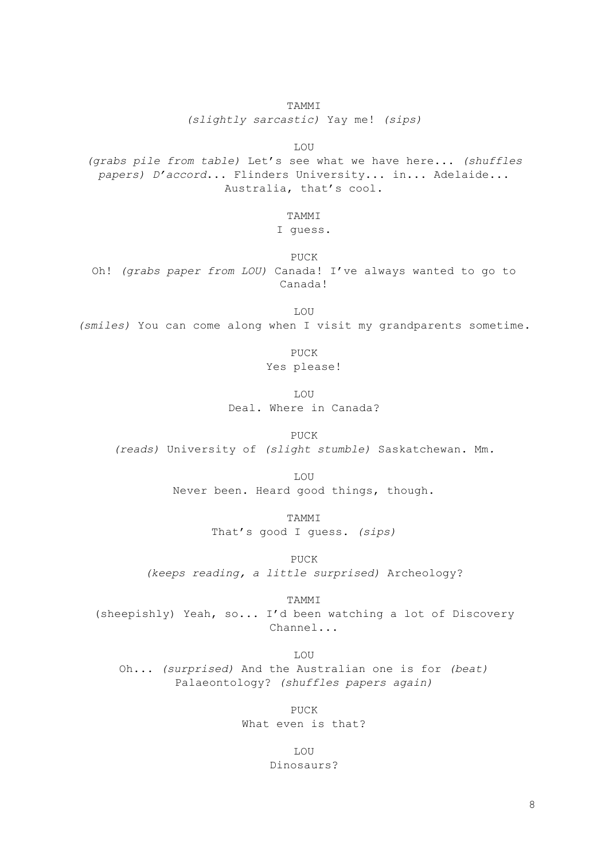*(slightly sarcastic)* Yay me! *(sips)*

LOU

*(grabs pile from table)* Let's see what we have here... *(shuffles papers) D'accord*... Flinders University... in... Adelaide... Australia, that's cool.

## TAMMI

# I guess.

PUCK Oh! *(grabs paper from LOU)* Canada! I've always wanted to go to Canada!

LOU *(smiles)* You can come along when I visit my grandparents sometime.

> PUCK Yes please!

LOU Deal. Where in Canada?

PUCK

*(reads)* University of *(slight stumble)* Saskatchewan. Mm*.*

LOU

Never been. Heard good things, though.

TAMMI

That's good I guess. *(sips)*

PUCK *(keeps reading, a little surprised)* Archeology?

TAMMI

(sheepishly) Yeah, so... I'd been watching a lot of Discovery Channel...

LOU Oh... *(surprised)* And the Australian one is for *(beat)* Palaeontology? *(shuffles papers again)*

> PUCK What even is that?

> > LOU Dinosaurs?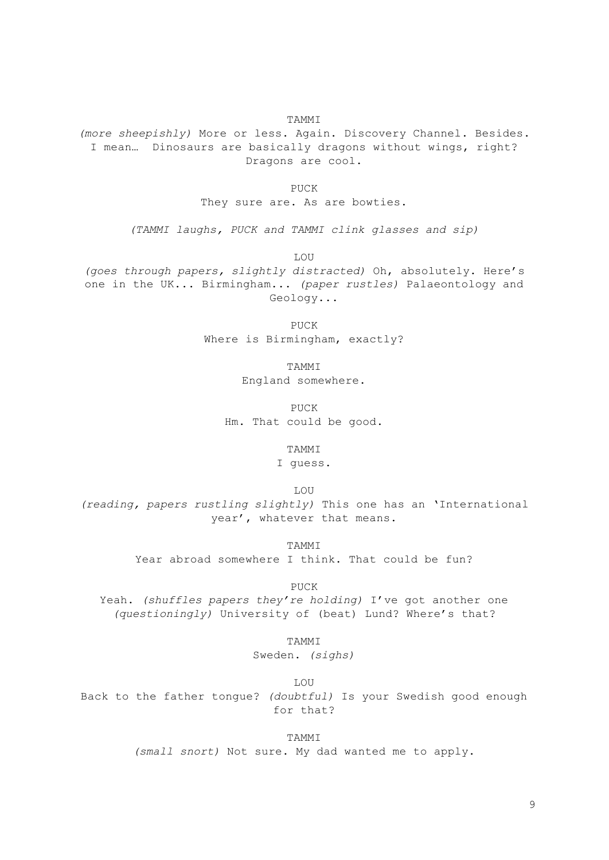TAMMI

*(more sheepishly)* More or less. Again. Discovery Channel. Besides. I mean… Dinosaurs are basically dragons without wings, right? Dragons are cool.

PHCK

They sure are. As are bowties.

*(TAMMI laughs, PUCK and TAMMI clink glasses and sip)*

LOU

*(goes through papers, slightly distracted)* Oh, absolutely. Here's one in the UK... Birmingham... *(paper rustles)* Palaeontology and Geology...

> PUCK Where is Birmingham, exactly?

> > **TAMMT**

England somewhere.

PUCK Hm. That could be good.

TAMMI

I guess.

LOU

*(reading, papers rustling slightly)* This one has an 'International year', whatever that means.

**TAMMT** 

Year abroad somewhere I think. That could be fun?

PUCK

Yeah. *(shuffles papers they're holding)* I've got another one *(questioningly)* University of (beat) Lund? Where's that?

TAMMI

Sweden. *(sighs)*

LOU

Back to the father tongue? *(doubtful)* Is your Swedish good enough for that?

**TAMMT** 

*(small snort)* Not sure. My dad wanted me to apply.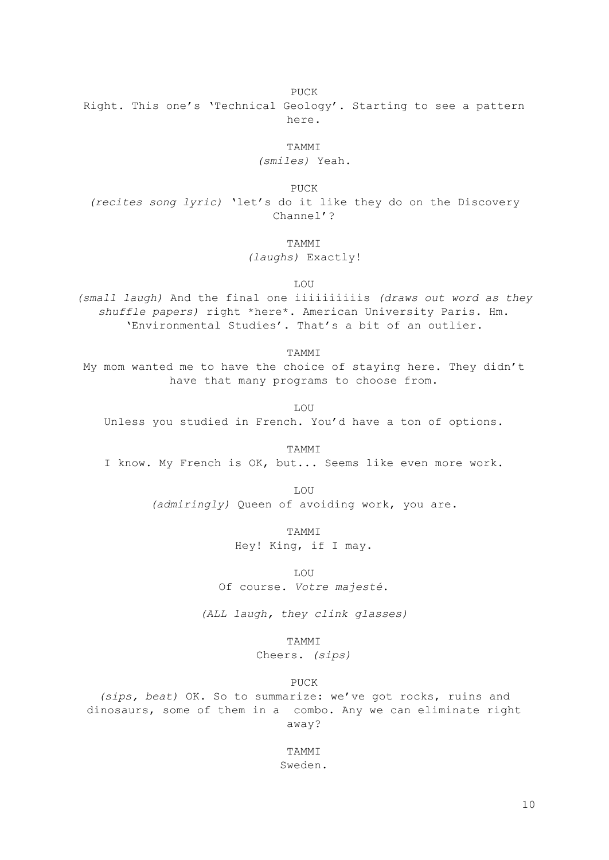PUCK

Right. This one's 'Technical Geology'. Starting to see a pattern here.

TAMMI

*(smiles)* Yeah.

PUCK

*(recites song lyric)* 'let's do it like they do on the Discovery Channel'?

**TAMMT** 

*(laughs)* Exactly!

LOU

*(small laugh)* And the final one iiiiiiiiiis *(draws out word as they shuffle papers)* right \*here\*. American University Paris. Hm. 'Environmental Studies'. That's a bit of an outlier.

TAMMI

My mom wanted me to have the choice of staying here. They didn't have that many programs to choose from.

LOU Unless you studied in French. You'd have a ton of options.

TAMMI I know. My French is OK, but... Seems like even more work.

> LOU *(admiringly)* Queen of avoiding work, you are.

> > TAMMI Hey! King, if I may.

**LOU** Of course. *Votre majesté*.

*(ALL laugh, they clink glasses)*

TAMMI

Cheers. *(sips)*

PUCK

*(sips, beat)* OK. So to summarize: we've got rocks, ruins and dinosaurs, some of them in a combo. Any we can eliminate right away?

> TAMMI Sweden.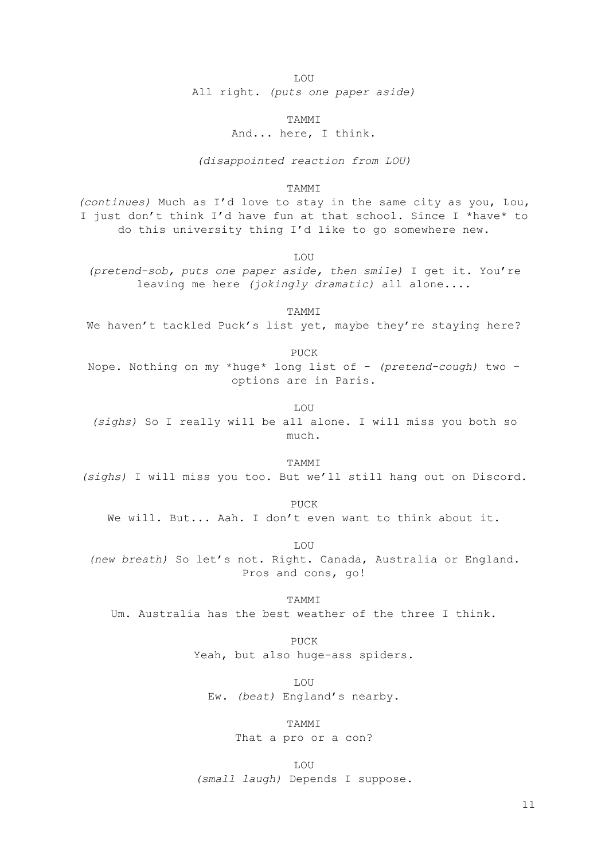LOU

All right. *(puts one paper aside)*

TAMMI

And... here, I think.

*(disappointed reaction from LOU)*

#### **TAMMT**

*(continues)* Much as I'd love to stay in the same city as you, Lou, I just don't think I'd have fun at that school. Since I \*have\* to do this university thing I'd like to go somewhere new.

LOU

*(pretend-sob, puts one paper aside, then smile)* I get it. You're leaving me here *(jokingly dramatic)* all alone....

TAMMI We haven't tackled Puck's list yet, maybe they're staying here?

PUCK

Nope. Nothing on my \*huge\* long list of - *(pretend-cough)* two – options are in Paris.

LOU *(sighs)* So I really will be all alone. I will miss you both so much.

**TAMMT** 

*(sighs)* I will miss you too. But we'll still hang out on Discord.

PUCK We will. But... Aah. I don't even want to think about it.

LOU *(new breath)* So let's not. Right. Canada, Australia or England. Pros and cons, go!

**TAMMT** Um. Australia has the best weather of the three I think.

> PUCK Yeah, but also huge-ass spiders.

LOU Ew. *(beat)* England's nearby.

TAMMI

That a pro or a con?

LOU *(small laugh)* Depends I suppose.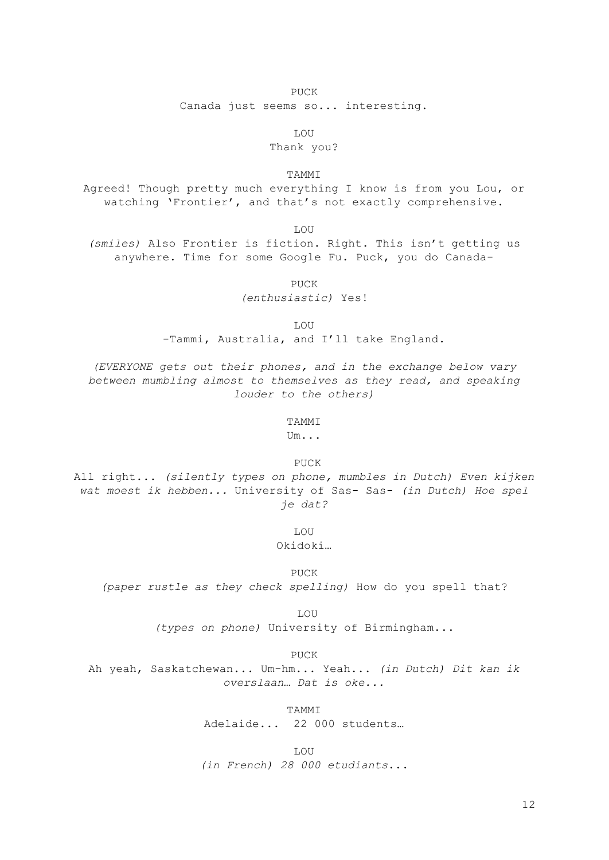## PUCK

Canada just seems so... interesting.

LOU

# Thank you?

TAMMI

Agreed! Though pretty much everything I know is from you Lou, or watching 'Frontier', and that's not exactly comprehensive.

LOU

*(smiles)* Also Frontier is fiction. Right. This isn't getting us anywhere. Time for some Google Fu. Puck, you do Canada-

PUCK

*(enthusiastic)* Yes!

LOU

-Tammi, Australia, and I'll take England.

*(EVERYONE gets out their phones, and in the exchange below vary between mumbling almost to themselves as they read, and speaking louder to the others)*

#### TAMMI

Um...

PUCK

All right... *(silently types on phone, mumbles in Dutch) Even kijken wat moest ik hebben...* University of Sas- Sas- *(in Dutch) Hoe spel je dat?*

LOU

Okidoki…

PUCK *(paper rustle as they check spelling)* How do you spell that?

LOU

*(types on phone)* University of Birmingham...

PUCK

Ah yeah, Saskatchewan... Um-hm... Yeah... *(in Dutch) Dit kan ik overslaan… Dat is oke...*

TAMMI

Adelaide... 22 000 students…

LOU *(in French) 28 000 etudiants*...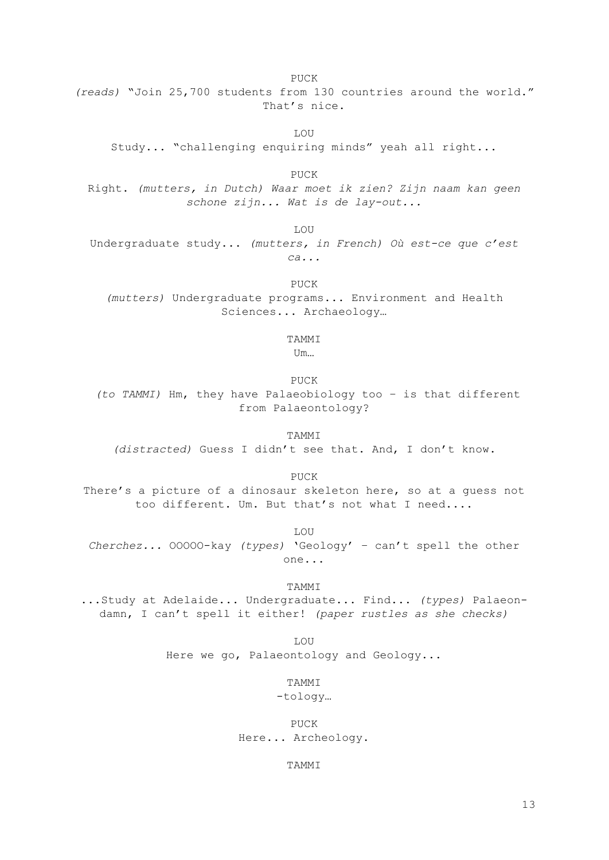PUCK *(reads)* "Join 25,700 students from 130 countries around the world." That's nice.

**LOU** 

Study... "challenging enquiring minds" yeah all right...

PUCK Right. *(mutters, in Dutch) Waar moet ik zien? Zijn naam kan geen schone zijn... Wat is de lay-out...*

LOU Undergraduate study... *(mutters, in French) Où est-ce que c'est ca...*

> PUCK *(mutters)* Undergraduate programs... Environment and Health Sciences... Archaeology…

#### TAMMI

Um…

PUCK

*(to TAMMI)* Hm, they have Palaeobiology too – is that different from Palaeontology?

TAMMI *(distracted)* Guess I didn't see that. And, I don't know.

PUCK

There's a picture of a dinosaur skeleton here, so at a guess not too different. Um. But that's not what I need....

LOU *Cherchez...* OOOOO-kay *(types)* 'Geology' – can't spell the other one...

TAMMI ...Study at Adelaide... Undergraduate... Find... *(types)* Palaeondamn, I can't spell it either! *(paper rustles as she checks)*

> LOU Here we go, Palaeontology and Geology...

> > TAMMI

-tology…

PUCK Here... Archeology.

TAMMI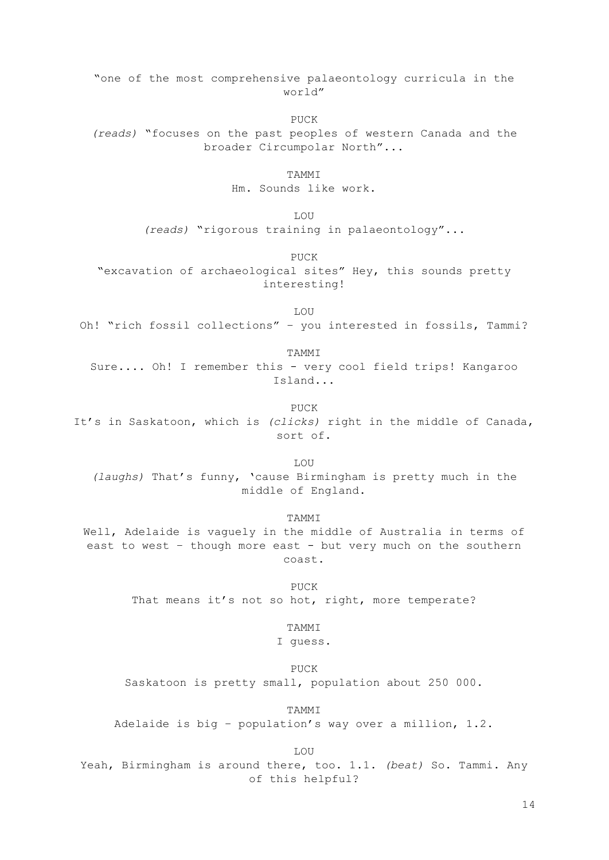"one of the most comprehensive palaeontology curricula in the world" PUCK *(reads)* "focuses on the past peoples of western Canada and the broader Circumpolar North"... TAMMI Hm. Sounds like work. LOU *(reads)* "rigorous training in palaeontology"... PUCK "excavation of archaeological sites" Hey, this sounds pretty interesting! LOU Oh! "rich fossil collections" – you interested in fossils, Tammi? TAMMI Sure.... Oh! I remember this - very cool field trips! Kangaroo Island... PUCK It's in Saskatoon, which is *(clicks)* right in the middle of Canada, sort of. LOU *(laughs)* That's funny, 'cause Birmingham is pretty much in the middle of England. TAMMI Well, Adelaide is vaguely in the middle of Australia in terms of east to west - though more east - but very much on the southern coast. PUCK That means it's not so hot, right, more temperate? TAMMI I guess. PUCK Saskatoon is pretty small, population about 250 000. TAMMI Adelaide is big – population's way over a million, 1.2. LOU Yeah, Birmingham is around there, too. 1.1. *(beat)* So. Tammi. Any of this helpful?

14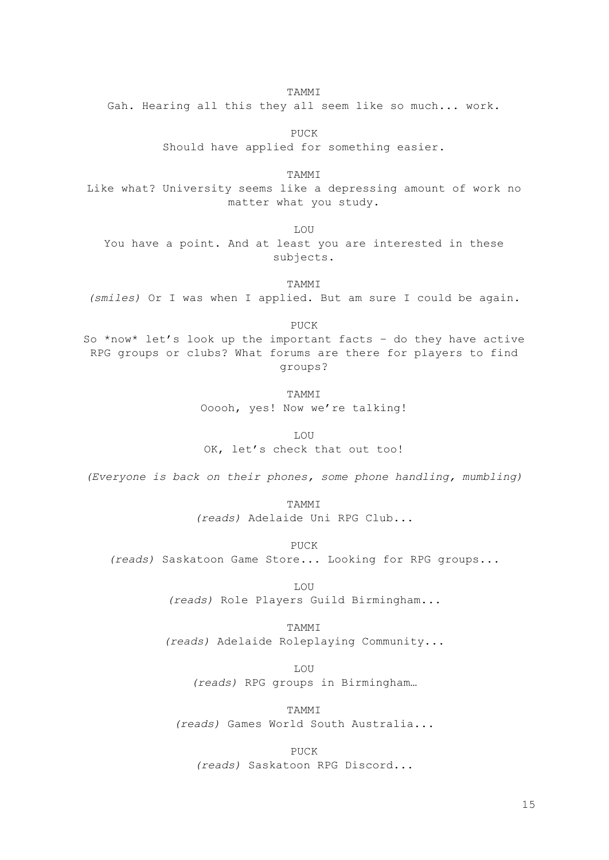TAMMI

Gah. Hearing all this they all seem like so much... work.

PUCK Should have applied for something easier.

TAMMI Like what? University seems like a depressing amount of work no matter what you study.

LOU

You have a point. And at least you are interested in these subjects.

TAMMI *(smiles)* Or I was when I applied. But am sure I could be again.

PUCK

So \*now\* let's look up the important facts – do they have active RPG groups or clubs? What forums are there for players to find groups?

> **TAMMT** Ooooh, yes! Now we're talking!

> > LOU

OK, let's check that out too!

*(Everyone is back on their phones, some phone handling, mumbling)*

TAMMI *(reads)* Adelaide Uni RPG Club...

PUCK

*(reads)* Saskatoon Game Store... Looking for RPG groups...

LOU

*(reads)* Role Players Guild Birmingham...

TAMMI

*(reads)* Adelaide Roleplaying Community...

LOU

*(reads)* RPG groups in Birmingham…

TAMMI *(reads)* Games World South Australia...

PUCK *(reads)* Saskatoon RPG Discord...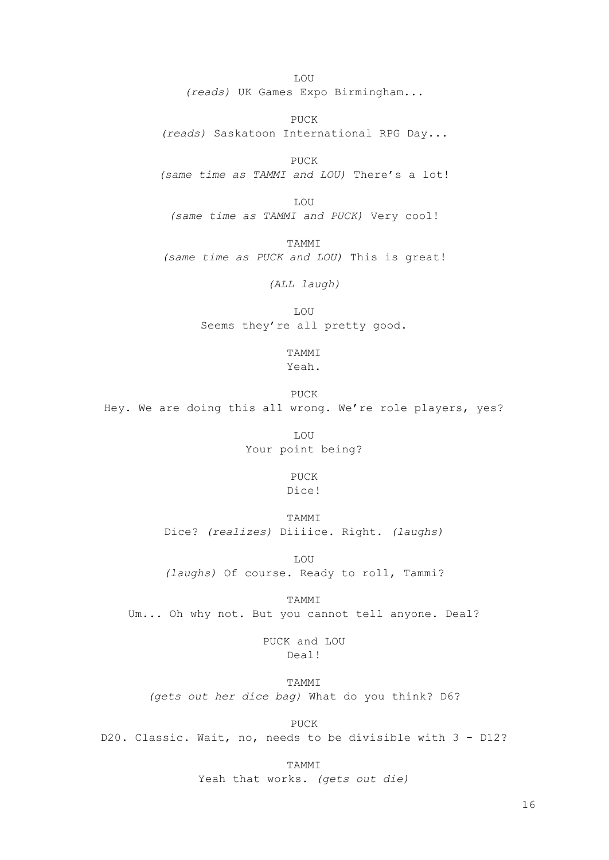LOU *(reads)* UK Games Expo Birmingham...

PUCK *(reads)* Saskatoon International RPG Day...

PUCK *(same time as TAMMI and LOU)* There's a lot!

LOU *(same time as TAMMI and PUCK)* Very cool!

TAMMI *(same time as PUCK and LOU)* This is great!

*(ALL laugh)*

LOU Seems they're all pretty good.

> TAMMI Yeah.

PUCK Hey. We are doing this all wrong. We're role players, yes?

> LOU Your point being?

> > PUCK Dice!

> > TAMMI

Dice? *(realizes)* Diiiice. Right. *(laughs)*

LOU *(laughs)* Of course. Ready to roll, Tammi?

TAMMI

Um... Oh why not. But you cannot tell anyone. Deal?

PUCK and LOU Deal!

TAMMI *(gets out her dice bag)* What do you think? D6?

PUCK

D20. Classic. Wait, no, needs to be divisible with 3 - D12?

TAMMI Yeah that works. *(gets out die)*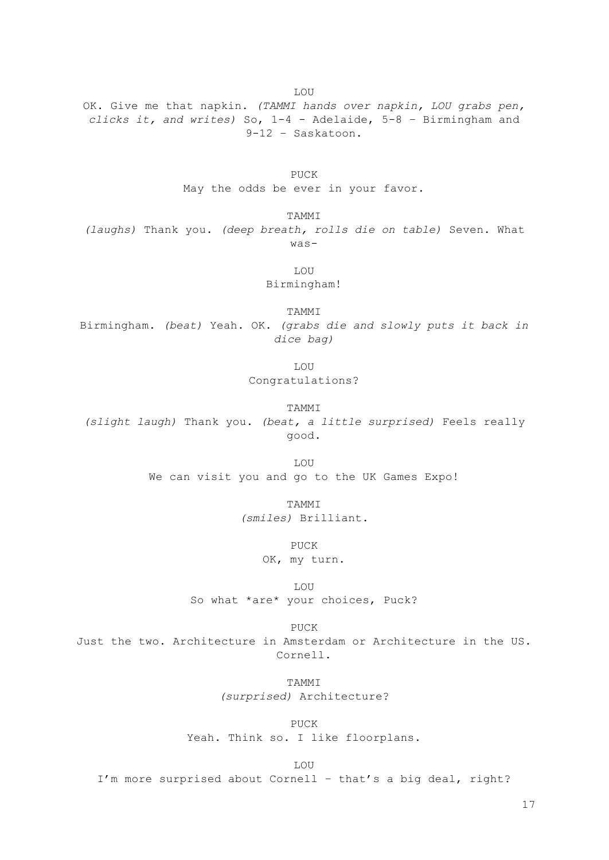OK. Give me that napkin. *(TAMMI hands over napkin, LOU grabs pen, clicks it, and writes)* So, 1-4 - Adelaide, 5-8 – Birmingham and 9-12 – Saskatoon.

LOU

PUCK May the odds be ever in your favor.

TAMMI *(laughs)* Thank you. *(deep breath, rolls die on table)* Seven. What was-

> LOU Birmingham!

TAMMI Birmingham. *(beat)* Yeah. OK. *(grabs die and slowly puts it back in dice bag)*

LOU

Congratulations?

TAMMI

*(slight laugh)* Thank you. *(beat, a little surprised)* Feels really good.

> LOU We can visit you and go to the UK Games Expo!

> > TAMMI *(smiles)* Brilliant.

> > > PUCK

OK, my turn.

LOU So what \*are\* your choices, Puck?

PUCK Just the two. Architecture in Amsterdam or Architecture in the US. Cornell.

> TAMMI *(surprised)* Architecture?

> > PUCK

Yeah. Think so. I like floorplans.

LOU

I'm more surprised about Cornell – that's a big deal, right?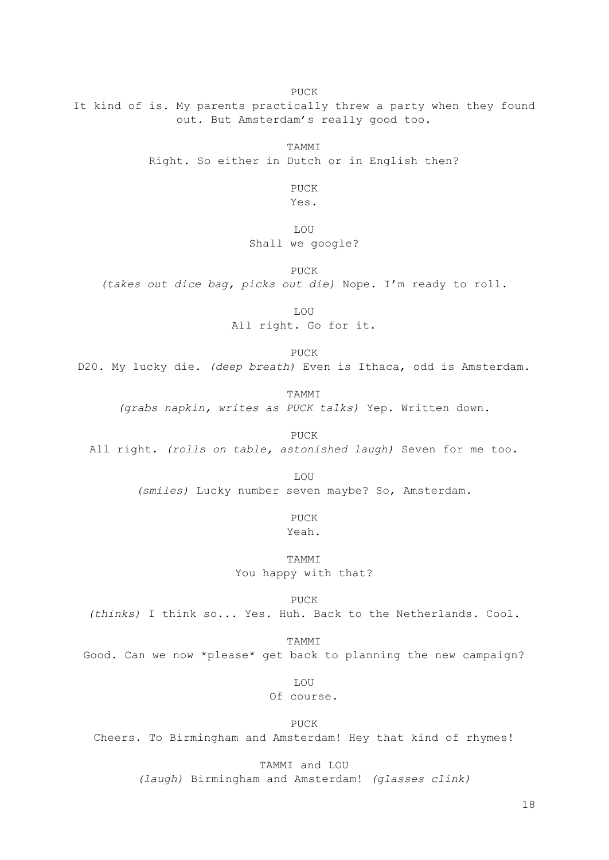PUCK

It kind of is. My parents practically threw a party when they found out. But Amsterdam's really good too.

TAMMI

Right. So either in Dutch or in English then?

PUCK Yes.

LOU

Shall we google?

PUCK

*(takes out dice bag, picks out die)* Nope. I'm ready to roll.

LOU

All right. Go for it.

PUCK

D20. My lucky die. *(deep breath)* Even is Ithaca, odd is Amsterdam.

**TAMMT** 

*(grabs napkin, writes as PUCK talks)* Yep. Written down.

PUCK

All right. *(rolls on table, astonished laugh)* Seven for me too.

LOU

*(smiles)* Lucky number seven maybe? So, Amsterdam.

PUCK Yeah.

TAMMI You happy with that?

PHCK

*(thinks)* I think so... Yes. Huh. Back to the Netherlands. Cool.

TAMMI

Good. Can we now \*please\* get back to planning the new campaign?

LOU

Of course.

PUCK Cheers. To Birmingham and Amsterdam! Hey that kind of rhymes!

TAMMI and LOU

*(laugh)* Birmingham and Amsterdam! *(glasses clink)*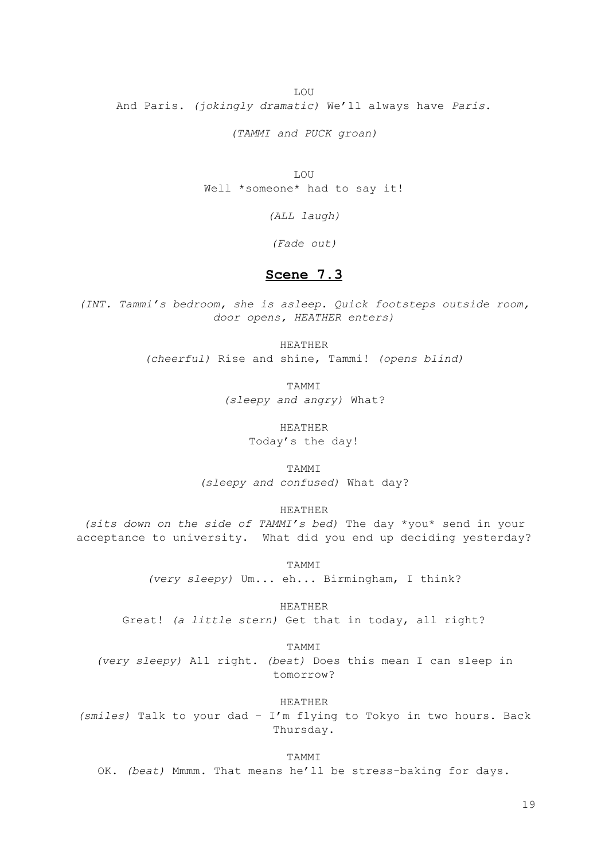LOU And Paris. *(jokingly dramatic)* We'll always have *Paris*.

*(TAMMI and PUCK groan)*

LOU Well \*someone\* had to say it!

*(ALL laugh)*

*(Fade out)*

# **Scene 7.3**

*(INT. Tammi's bedroom, she is asleep. Quick footsteps outside room, door opens, HEATHER enters)*

> HEATHER *(cheerful)* Rise and shine, Tammi! *(opens blind)*

> > TAMMI *(sleepy and angry)* What?

> > > HEATHER Today's the day!

TAMMI *(sleepy and confused)* What day?

HEATHER

*(sits down on the side of TAMMI's bed)* The day \*you\* send in your acceptance to university. What did you end up deciding yesterday?

TAMMI

*(very sleepy)* Um... eh... Birmingham, I think?

HEATHER

Great! *(a little stern)* Get that in today, all right?

TAMMI

*(very sleepy)* All right. *(beat)* Does this mean I can sleep in tomorrow?

HEATHER

*(smiles)* Talk to your dad – I'm flying to Tokyo in two hours. Back Thursday.

TAMMI

OK. *(beat)* Mmmm. That means he'll be stress-baking for days.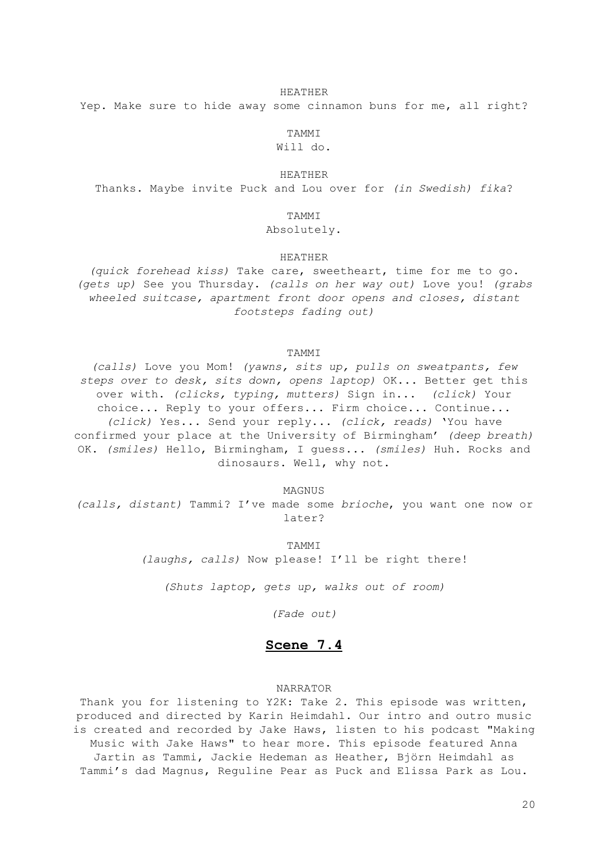#### HEATHER

Yep. Make sure to hide away some cinnamon buns for me, all right?

TAMMI Will do.

## HEATHER

Thanks. Maybe invite Puck and Lou over for *(in Swedish) fika*?

## TAMMI

# Absolutely.

## HEATHER

*(quick forehead kiss)* Take care, sweetheart, time for me to go. *(gets up)* See you Thursday. *(calls on her way out)* Love you! *(grabs wheeled suitcase, apartment front door opens and closes, distant footsteps fading out)*

## TAMMI

*(calls)* Love you Mom! *(yawns, sits up, pulls on sweatpants, few steps over to desk, sits down, opens laptop)* OK... Better get this over with. *(clicks, typing, mutters)* Sign in... *(click)* Your choice... Reply to your offers... Firm choice... Continue... *(click)* Yes... Send your reply... *(click, reads)* 'You have confirmed your place at the University of Birmingham' *(deep breath)* OK. *(smiles)* Hello, Birmingham, I guess... *(smiles)* Huh. Rocks and dinosaurs. Well, why not.

MAGNUS *(calls, distant)* Tammi? I've made some *brioche*, you want one now or later?

> TAMMI *(laughs, calls)* Now please! I'll be right there!

*(Shuts laptop, gets up, walks out of room)*

*(Fade out)*

# **Scene 7.4**

## NARRATOR

Thank you for listening to Y2K: Take 2. This episode was written, produced and directed by Karin Heimdahl. Our intro and outro music is created and recorded by Jake Haws, listen to his podcast "Making Music with Jake Haws" to hear more. This episode featured Anna Jartin as Tammi, Jackie Hedeman as Heather, Björn Heimdahl as Tammi's dad Magnus, Reguline Pear as Puck and Elissa Park as Lou.